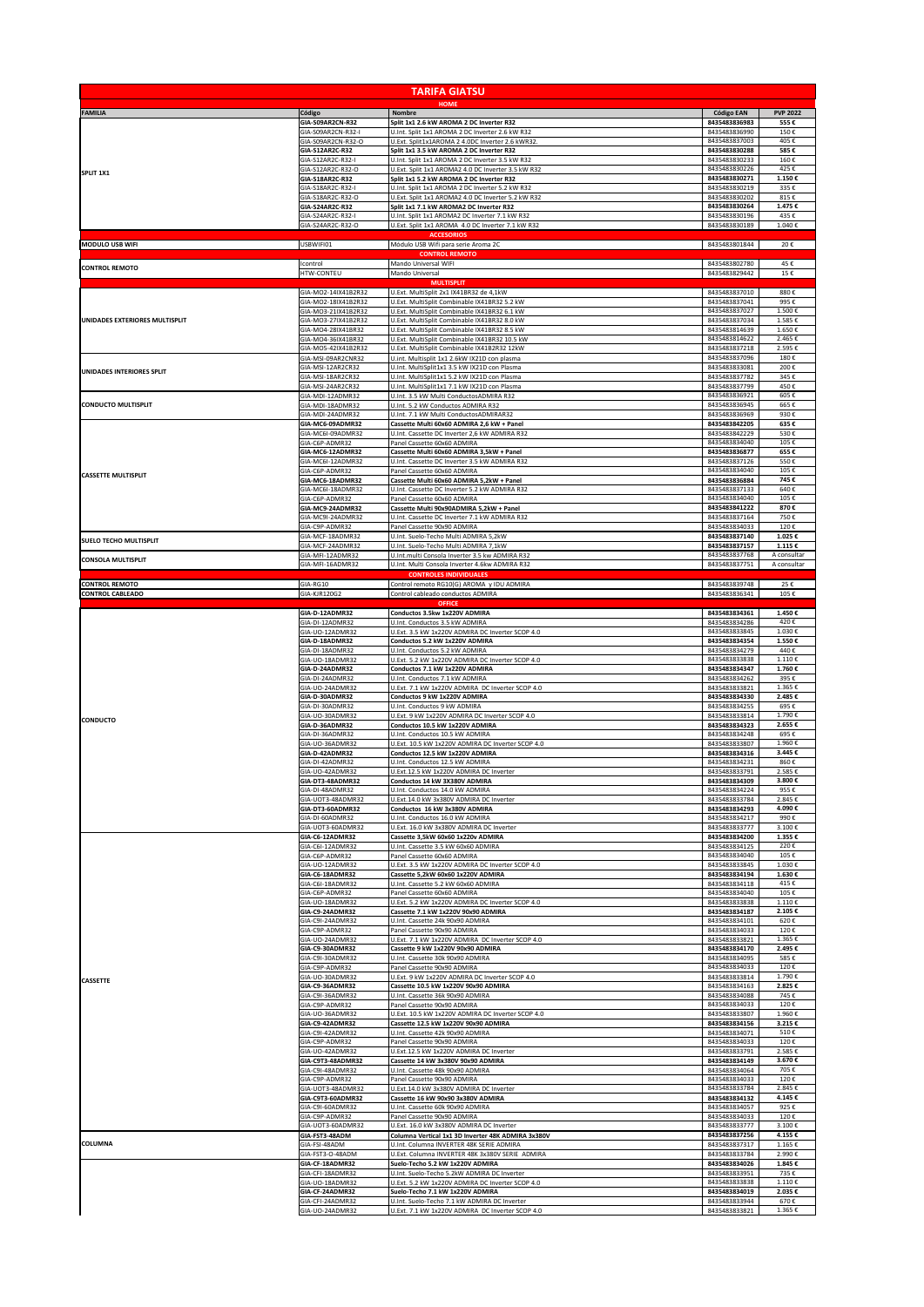|                                  |                                            | <b>TARIFA GIATSU</b>                                                                                |                                |                 |
|----------------------------------|--------------------------------------------|-----------------------------------------------------------------------------------------------------|--------------------------------|-----------------|
| <b>FAMILIA</b>                   | Código                                     | <b>HOME</b><br>Nombre                                                                               | <b>Código EAN</b>              | <b>PVP 2022</b> |
|                                  | GIA-S09AR2CN-R32<br>GIA-S09AR2CN-R32-      | Split 1x1 2.6 kW AROMA 2 DC Inverter R32                                                            | 8435483836983<br>8435483836990 | 555€<br>150€    |
|                                  | GIA-S09AR2CN-R32-O                         | U.Int. Split 1x1 AROMA 2 DC Inverter 2.6 kW R32<br>U.Ext. Split1x1AROMA 2 4.0DC Inverter 2.6 kWR32  | 8435483837003                  | 405€            |
|                                  | GIA-S12AR2C-R32                            | Split 1x1 3.5 kW AROMA 2 DC Inverter R32                                                            | 8435483830288                  | 585€            |
|                                  | GIA-S12AR2C-R32-I                          | U.Int. Split 1x1 AROMA 2 DC Inverter 3.5 kW R32                                                     | 8435483830233                  | 160€            |
| SPLIT 1X1                        | GIA-S12AR2C-R32-O                          | U.Ext. Split 1x1 AROMA2 4.0 DC Inverter 3.5 kW R32                                                  | 8435483830226                  | 425€            |
|                                  | GIA-S18AR2C-R32                            | Split 1x1 5.2 kW AROMA 2 DC Inverter R32                                                            | 8435483830271                  | 1.150€          |
|                                  | GIA-S18AR2C-R32-I                          | U.Int. Split 1x1 AROMA 2 DC Inverter 5.2 kW R32                                                     | 8435483830219                  | 335€            |
|                                  | GIA-S18AR2C-R32-O<br>GIA-S24AR2C-R32       | U.Ext. Split 1x1 AROMA2 4.0 DC Inverter 5.2 kW R32<br>Split 1x1 7.1 kW AROMA2 DC Inverter R32       | 8435483830202<br>8435483830264 | 815€<br>1.475€  |
|                                  | GIA-S24AR2C-R32-I<br>GIA-S24AR2C-R32-O     | U.Int. Split 1x1 AROMA2 DC Inverter 7.1 kW R32<br>U.Ext. Split 1x1 AROMA 4.0 DC Inverter 7.1 kW R32 | 8435483830196<br>8435483830189 | 435€<br>1.040€  |
| <b>MODULO USB WIFI</b>           | USBWIFI01                                  | <b>ACCESORIOS</b><br>Módulo USB Wifi para serie Aroma 2C                                            | 8435483801844                  | 20€             |
|                                  |                                            | <b>CONTROL REMOTO</b>                                                                               |                                |                 |
| <b>CONTROL REMOTO</b>            | Icontrol                                   | Mando Universal WIFI                                                                                | 8435483802780                  | 45€             |
|                                  | HTW-CONTEU                                 | Mando Universal                                                                                     | 8435483829442                  | 15€             |
|                                  | GIA-MO2-14IX41B2R32                        | <b>MULTISPLI</b><br>U.Ext. MultiSplit 2x1 IX41BR32 de 4,1kW                                         | 8435483837010                  | 880€            |
|                                  | GIA-MO2-18IX41B2R32<br>GIA-MO3-21IX41B2R32 | U.Ext. MultiSplit Combinable IX41BR32 5.2 kW<br>U.Ext. MultiSplit Combinable IX41BR32 6.1 kW        | 8435483837041<br>8435483837027 | 995€<br>1.500€  |
| UNIDADES EXTERIORES MULTISPLIT   | GIA-MO3-27IX41B2R32                        | U.Ext. MultiSplit Combinable IX41BR32 8.0 kW                                                        | 8435483837034                  | 1.585€          |
|                                  | GIA-MO4-28IX41BR32                         | U.Ext. MultiSplit Combinable IX41BR32 8.5 kW                                                        | 8435483814639                  | 1.650€          |
|                                  | GIA-MO4-36IX41BR32                         | U.Ext. MultiSplit Combinable IX41BR32 10.5 kW                                                       | 8435483814622                  | 2.465€          |
|                                  | GIA-MO5-42IX41B2R32                        | U.Ext. MultiSplit Combinable IX41B2R32 12kW                                                         | 8435483837218                  | 2.595€          |
|                                  | GIA-MSI-09AR2CNR32                         | U.int. Multisplit 1x1 2.6kW IX21D con plasma                                                        | 8435483837096                  | 180€            |
| <b>UNIDADES INTERIORES SPLIT</b> | GIA-MSI-12AR2CR32                          | U.Int. MultiSplit1x1 3.5 kW IX21D con Plasma                                                        | 8435483833081                  | 200€            |
|                                  | GIA-MSI-18AR2CR32                          | U.Int. MultiSplit1x1 5.2 kW IX21D con Plasma                                                        | 8435483837782                  | 345€            |
|                                  | GIA-MSI-24AR2CR32                          | U.Int. MultiSplit1x1 7.1 kW IX21D con Plasma<br>U.Int. 3.5 kW Multi ConductosADMIRA R32             | 8435483837799<br>8435483836921 | 450€<br>605€    |
| <b>CONDUCTO MULTISPLIT</b>       | GIA-MDI-12ADMR32<br>GIA-MDI-18ADMR32       | U.Int. 5.2 kW Conductos ADMIRA R32                                                                  | 8435483836945                  | 665€            |
|                                  | GIA-MDI-24ADMR32                           | U.Int. 7.1 kW Multi ConductosADMIRAR32                                                              | 8435483836969                  | 930€            |
|                                  | GIA-MC6-09ADMR32                           | Cassette Multi 60x60 ADMIRA 2,6 kW + Panel                                                          | 8435483842205                  | 635€            |
|                                  | GIA-MC6I-09ADMR32                          | U.Int. Cassette DC Inverter 2,6 kW ADMIRA R32                                                       | 8435483842229                  | 530€            |
|                                  | GIA-C6P-ADMR32                             | Panel Cassette 60x60 ADMIRA                                                                         | 8435483834040                  | 105€            |
|                                  | GIA-MC6-12ADMR32                           | Cassette Multi 60x60 ADMIRA 3,5kW + Panel                                                           | 8435483836877                  | 655€            |
| <b>CASSETTE MULTISPLIT</b>       | GIA-MC6I-12ADMR32                          | U.Int. Cassette DC Inverter 3.5 kW ADMIRA R32                                                       | 8435483837126                  | 550€            |
|                                  | GIA-C6P-ADMR32                             | Panel Cassette 60x60 ADMIRA                                                                         | 8435483834040                  | 105€            |
|                                  | GIA-MC6-18ADMR32                           | Cassette Multi 60x60 ADMIRA 5,2kW + Panel                                                           | 8435483836884                  | 745€            |
|                                  | GIA-MC6I-18ADMR32                          | U.Int. Cassette DC Inverter 5.2 kW ADMIRA R32                                                       | 8435483837133                  | 640€            |
|                                  | GIA-C6P-ADMR32                             | Panel Cassette 60x60 ADMIRA                                                                         | 8435483834040                  | 105€            |
|                                  | GIA-MC9-24ADMR32                           | Cassette Multi 90x90ADMIRA 5,2kW + Panel                                                            | 8435483841222                  | 870€            |
|                                  | GIA-MC9I-24ADMR32                          | U.Int. Cassette DC Inverter 7.1 kW ADMIRA R32                                                       | 8435483837164                  | 750€            |
| <b>SUELO TECHO MULTISPLIT</b>    | GIA-C9P-ADMR32                             | Panel Cassette 90x90 ADMIRA                                                                         | 8435483834033                  | 120 f           |
|                                  | GIA-MCF-18ADMR32                           | U.Int. Suelo-Techo Multi ADMIRA 5,2kW                                                               | 8435483837140                  | 1.025€          |
|                                  | GIA-MCF-24ADMR32                           | U.Int. Suelo-Techo Multi ADMIRA 7,1kW                                                               | 8435483837157                  | 1.115€          |
|                                  | GIA-MFI-12ADMR32                           | U.Int.multi Consola Inverter 3.5 kw ADMIRA R32                                                      | 8435483837768                  | A consultar     |
| <b>CONSOLA MULTISPLIT</b>        | GIA-MFI-16ADMR32                           | U.Int. Multi Consola Inverter 4.6kw ADMIRA R32<br><b>CONTROLES INDIVIDUALES</b>                     | 8435483837751                  | A consultar     |
| <b>CONTROL REMOTO</b>            | GIA-RG10                                   | Control remoto RG10(G) AROMA y IDU ADMIRA                                                           | 8435483839748                  | 25€             |
| <b>CONTROL CABLEADO</b>          | GIA-KJR120G2                               | Control cableado conductos ADMIRA<br><b>OFFICE</b>                                                  | 8435483836341                  | 105€            |
|                                  | GIA-D-12ADMR32                             | Conductos 3.5kw 1x220V ADMIRA                                                                       | 8435483834361                  | 1.450€          |
|                                  | GIA-DI-12ADMR32                            | U.Int. Conductos 3.5 kW ADMIRA                                                                      | 8435483834286                  | 420€            |
|                                  | GIA-UO-12ADMR32                            | U.Ext. 3.5 kW 1x220V ADMIRA DC Inverter SCOP 4.0                                                    | 8435483833845                  | 1.030€          |
|                                  | GIA-D-18ADMR32                             | Conductos 5.2 kW 1x220V ADMIRA                                                                      | 8435483834354                  | 1.550€          |
|                                  | GIA-DI-18ADMR32                            | U.Int. Conductos 5.2 kW ADMIRA                                                                      | 8435483834279                  | 440€            |
|                                  | GIA-UO-18ADMR32                            | U.Ext. 5.2 kW 1x220V ADMIRA DC Inverter SCOP 4.0                                                    | 8435483833838                  | 1.110€          |
|                                  | GIA-D-24ADMR32                             | Conductos 7.1 kW 1x220V ADMIRA                                                                      | 8435483834347                  | 1.760€          |
|                                  | GIA-DI-24ADMR32                            | U.Int. Conductos 7.1 kW ADMIRA                                                                      | 8435483834262                  | 395€            |
|                                  | GIA-UO-24ADMR32                            | U.Ext. 7.1 kW 1x220V ADMIRA DC Inverter SCOP 4.0                                                    | 8435483833821                  | 1.365€          |
|                                  | GIA-D-30ADMR32                             | Conductos 9 kW 1x220V ADMIRA                                                                        | 8435483834330                  | 2.485€          |
|                                  | GIA-DI-30ADMR32                            | U.Int. Conductos 9 kW ADMIRA                                                                        | 8435483834255                  | 695€            |
| <b>CONDUCTO</b>                  | GIA-UO-30ADMR32                            | U.Ext. 9 kW 1x220V ADMIRA DC Inverter SCOP 4.0                                                      | 8435483833814                  | 1.790€          |
|                                  | GIA-D-36ADMR32                             | Conductos 10.5 kW 1x220V ADMIRA                                                                     | 8435483834323                  | 2.655€          |
|                                  | GIA-DI-36ADMR32                            | U.Int. Conductos 10.5 kW ADMIRA                                                                     | 8435483834248                  | 695€            |
|                                  | GIA-UO-36ADMR32                            | U.Ext. 10.5 kW 1x220V ADMIRA DC Inverter SCOP 4.0                                                   | 8435483833807                  | 1.960€          |
|                                  | GIA-D-42ADMR32                             | Conductos 12.5 kW 1x220V ADMIRA                                                                     | 8435483834316                  | 3.445€          |
|                                  | GIA-DI-42ADMR32                            | U.Int. Conductos 12.5 kW ADMIRA                                                                     | 8435483834231                  | 860€            |
|                                  | GIA-UO-42ADMR32                            | U.Ext.12.5 kW 1x220V ADMIRA DC Inverter                                                             | 8435483833791                  | 2.585€          |
|                                  | GIA-DT3-48ADMR32                           | Conductos 14 kW 3X380V ADMIRA                                                                       | 8435483834309                  | 3.800€          |
|                                  | GIA-DI-48ADMR32                            | U.Int. Conductos 14.0 kW ADMIRA                                                                     | 8435483834224                  | 955€            |
|                                  | GIA-UOT3-48ADMR32                          | U.Ext.14.0 kW 3x380V ADMIRA DC Inverter                                                             | 8435483833784                  | 2.845€          |
|                                  | GIA-DT3-60ADMR32                           | Conductos 16 kW 3x380V ADMIRA                                                                       | 8435483834293                  | 4.090€          |
|                                  | GIA-DI-60ADMR32                            | U.Int. Conductos 16.0 kW ADMIRA                                                                     | 8435483834217                  | 990€            |
|                                  | GIA-UOT3-60ADMR32                          | U.Ext. 16.0 kW 3x380V ADMIRA DC Inverter                                                            | 8435483833777                  | 3.100€          |
|                                  | GIA-C6-12ADMR32                            | Cassette 3,5kW 60x60 1x220v ADMIRA                                                                  | 8435483834200                  | 1.355€          |
|                                  | GIA-C6I-12ADMR32                           | U.Int. Cassette 3.5 kW 60x60 ADMIRA                                                                 | 8435483834125                  | 220€            |
|                                  | GIA-C6P-ADMR32                             | Panel Cassette 60x60 ADMIRA                                                                         | 8435483834040                  | 105€            |
|                                  | GIA-UO-12ADMR32                            | U.Ext. 3.5 kW 1x220V ADMIRA DC Inverter SCOP 4.0                                                    | 8435483833845                  | 1.030€          |
|                                  | GIA-C6-18ADMR32                            | Cassette 5,2kW 60x60 1x220V ADMIRA                                                                  | 8435483834194                  | 1.630€          |
|                                  | GIA-C6I-18ADMR32                           | U.Int. Cassette 5.2 kW 60x60 ADMIRA                                                                 | 8435483834118                  | 415€            |
|                                  | GIA-C6P-ADMR32                             | Panel Cassette 60x60 ADMIRA                                                                         | 8435483834040                  | 105€            |
|                                  | GIA-UO-18ADMR32                            | U.Ext. 5.2 kW 1x220V ADMIRA DC Inverter SCOP 4.0                                                    | 8435483833838                  | 1.110€          |
|                                  | GIA-C9-24ADMR32                            | Cassette 7.1 kW 1x220V 90x90 ADMIRA                                                                 | 8435483834187                  | 2.105€          |
|                                  | GIA-C9I-24ADMR32                           | U.Int. Cassette 24k 90x90 ADMIRA                                                                    | 8435483834101                  | 620€            |
|                                  | GIA-C9P-ADMR32                             | Panel Cassette 90x90 ADMIRA                                                                         | 8435483834033                  | 120€<br>1.365€  |
|                                  | GIA-UO-24ADMR32<br>GIA-C9-30ADMR32         | U.Ext. 7.1 kW 1x220V ADMIRA DC Inverter SCOP 4.0<br>Cassette 9 kW 1x220V 90x90 ADMIRA               | 8435483833821<br>8435483834170 | 2.495€          |
|                                  | GIA-C9I-30ADMR32                           | U.Int. Cassette 30k 90x90 ADMIRA                                                                    | 8435483834095                  | 585€            |
|                                  | GIA-C9P-ADMR32                             | Panel Cassette 90x90 ADMIRA                                                                         | 8435483834033                  | 120€            |
| CASSETTE                         | GIA-UO-30ADMR32                            | U.Ext. 9 kW 1x220V ADMIRA DC Inverter SCOP 4.0                                                      | 8435483833814                  | 1.790€          |
|                                  | GIA-C9-36ADMR32                            | Cassette 10.5 kW 1x220V 90x90 ADMIRA                                                                | 8435483834163                  | 2.825€          |
|                                  | GIA-C9I-36ADMR32                           | U.Int. Cassette 36k 90x90 ADMIRA                                                                    | 8435483834088                  | 745€<br>120€    |
|                                  | GIA-C9P-ADMR32<br>GIA-UO-36ADMR32          | Panel Cassette 90x90 ADMIRA<br>U.Ext. 10.5 kW 1x220V ADMIRA DC Inverter SCOP 4.0                    | 8435483834033<br>8435483833807 | 1.960€          |
|                                  | GIA-C9-42ADMR32                            | Cassette 12.5 kW 1x220V 90x90 ADMIRA                                                                | 8435483834156                  | 3.215€          |
|                                  | GIA-C9I-42ADMR32                           | U.Int. Cassette 42k 90x90 ADMIRA                                                                    | 8435483834071                  | 510€            |
|                                  | GIA-C9P-ADMR32                             | Panel Cassette 90x90 ADMIRA                                                                         | 8435483834033                  | 120€            |
|                                  | GIA-UO-42ADMR32                            | U.Ext.12.5 kW 1x220V ADMIRA DC Inverter                                                             | 8435483833791                  | 2.585€          |
|                                  | GIA-C9T3-48ADMR32                          | Cassette 14 kW 3x380V 90x90 ADMIRA                                                                  | 8435483834149                  | 3.670€          |
|                                  | GIA-C9I-48ADMR32                           | U.Int. Cassette 48k 90x90 ADMIRA                                                                    | 8435483834064                  | 705€            |
|                                  | GIA-C9P-ADMR32                             | Panel Cassette 90x90 ADMIRA                                                                         | 8435483834033                  | 120€            |
|                                  | GIA-UOT3-48ADMR32                          | U.Ext.14.0 kW 3x380V ADMIRA DC Inverter                                                             | 8435483833784                  | 2.845€          |
|                                  | GIA-C9T3-60ADMR32                          | Cassette 16 kW 90x90 3x380V ADMIRA                                                                  | 8435483834132                  | 4.145€          |
|                                  | GIA-C9I-60ADMR32                           | U.Int. Cassette 60k 90x90 ADMIRA                                                                    | 8435483834057                  | 925€            |
|                                  | GIA-C9P-ADMR32                             | Panel Cassette 90x90 ADMIRA                                                                         | 8435483834033                  | 120€            |
|                                  | GIA-UOT3-60ADMR32                          | U.Ext. 16.0 kW 3x380V ADMIRA DC Inverter                                                            | 8435483833777                  | 3.100€          |
|                                  | GIA-FST3-48ADM                             | Columna Vertical 1x1 3D Inverter 48K ADMIRA 3x380V                                                  | 8435483837256                  | 4.155€          |
| COLUMNA                          | GIA-FSI-48ADM                              | U.Int. Columna INVERTER 48K SERIE ADMIRA                                                            | 8435483837317                  | 1.165€          |
|                                  | GIA-FST3-O-48ADM                           | U.Ext. Columna INVERTER 48K 3x380V SERIE ADMIRA                                                     | 8435483833784                  | 2.990€          |
|                                  | GIA-CF-18ADMR32                            | Suelo-Techo 5.2 kW 1x220V ADMIRA                                                                    | 8435483834026                  | 1.845€          |
|                                  | GIA-CFI-18ADMR32                           | U.Int. Suelo-Techo 5.2kW ADMIRA DC Inverter                                                         | 8435483833951                  | 735€            |
|                                  | GIA-UO-18ADMR32                            | U.Ext. 5.2 kW 1x220V ADMIRA DC Inverter SCOP 4.0                                                    | 8435483833838                  | 1.110€          |
|                                  | GIA-CF-24ADMR32                            | Suelo-Techo 7.1 kW 1x220V ADMIRA                                                                    | 8435483834019                  | 2.035€          |
|                                  | GIA-CFI-24ADMR32                           | U.Int. Suelo-Techo 7.1 kW ADMIRA DC Inverter                                                        | 8435483833944                  | 670€            |
|                                  | GIA-UO-24ADMR32                            | U.Ext. 7.1 kW 1x220V ADMIRA DC Inverter SCOP 4.0                                                    | 8435483833821                  | 1.365€          |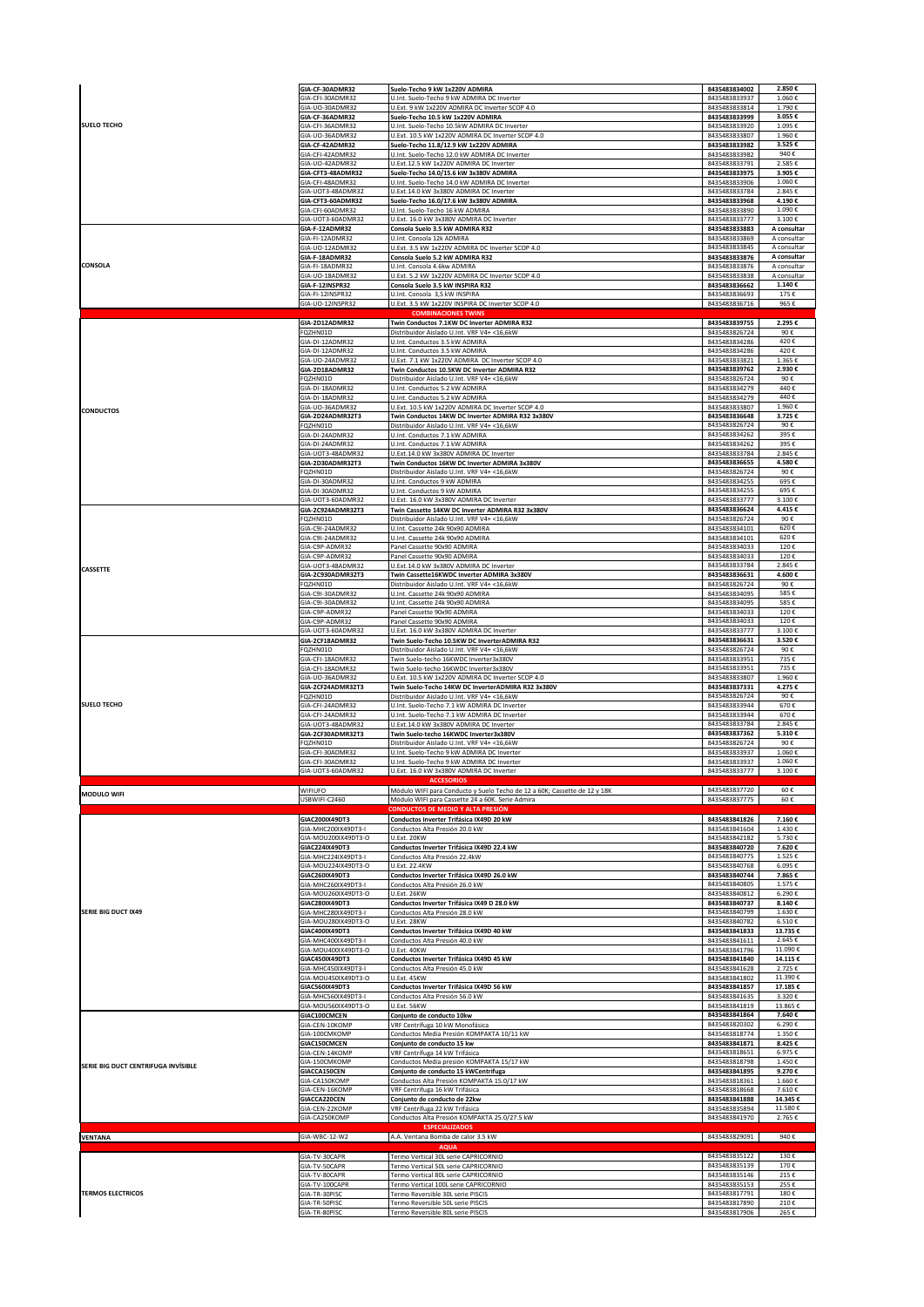|                                     | GIA-CF-30ADMR32                            | Suelo-Techo 9 kW 1x220V ADMIRA                                                                         | 8435483834002                  | 2.850€                     |
|-------------------------------------|--------------------------------------------|--------------------------------------------------------------------------------------------------------|--------------------------------|----------------------------|
| <b>SUELO TECHO</b>                  | GIA-CFI-30ADMR32                           | U.Int. Suelo-Techo 9 kW ADMIRA DC Inverter                                                             | 8435483833937                  | 1.060€                     |
|                                     | GIA-UO-30ADMR32                            | U.Fxt. 9 kW 1x220V ADMIRA DC Inverter SCOP 4.0                                                         | 8435483833814                  | 1.790€                     |
|                                     | GIA-CF-36ADMR32                            | Suelo-Techo 10.5 kW 1x220V ADMIRA                                                                      | 8435483833999                  | 3.055€                     |
|                                     | GIA-CFI-36ADMR32<br>GIA-UO-36ADMR32        | U.Int. Suelo-Techo 10.5kW ADMIRA DC Inverter<br>U.Ext. 10.5 kW 1x220V ADMIRA DC Inverter SCOP 4.0      | 8435483833920<br>8435483833807 | 1.095€<br>1.960€           |
|                                     | GIA-CF-42ADMR32                            | Suelo-Techo 11.8/12.9 kW 1x220V ADMIRA                                                                 | 8435483833982                  | 3.525€                     |
|                                     | GIA-CFI-42ADMR32                           | U.Int. Suelo-Techo 12.0 kW ADMIRA DC Inverter                                                          | 8435483833982                  | 940€                       |
|                                     | GIA-UO-42ADMR32                            | U.Ext.12.5 kW 1x220V ADMIRA DC Inverter                                                                | 8435483833791                  | 2.585€                     |
|                                     | GIA-CFT3-48ADMR32                          | Suelo-Techo 14.0/15.6 kW 3x380V ADMIRA                                                                 | 8435483833975                  | 3.905€                     |
|                                     | GIA-CFI-48ADMR32<br>GIA-UOT3-48ADMR32      | U.Int. Suelo-Techo 14.0 kW ADMIRA DC Inverter                                                          | 8435483833906<br>8435483833784 | 1.060€<br>2.845€           |
|                                     | GIA-CFT3-60ADMR32                          | U.Ext.14.0 kW 3x380V ADMIRA DC Inverter<br>Suelo-Techo 16.0/17.6 kW 3x380V ADMIRA                      | 8435483833968                  | 4.190€                     |
|                                     | GIA-CFI-60ADMR32                           | U.Int. Suelo-Techo 16 kW ADMIRA                                                                        | 8435483833890                  | 1.090€                     |
|                                     | GIA-UOT3-60ADMR32                          | U.Ext. 16.0 kW 3x380V ADMIRA DC Inverter                                                               | 8435483833777                  | 3.100€                     |
|                                     | GIA-F-12ADMR32                             | Consola Suelo 3.5 kW ADMIRA R32                                                                        | 8435483833883                  | A consultar                |
|                                     | GIA-FI-12ADMR32<br>GIA-UO-12ADMR32         | U.Int. Consola 12k ADMIRA<br>U.Ext. 3.5 kW 1x220V ADMIRA DC Inverter SCOP 4.0                          | 8435483833869<br>8435483833845 | A consultar                |
|                                     | GIA-F-18ADMR32                             | Consola Suelo 5.2 kW ADMIRA R32                                                                        | 8435483833876                  | A consultar<br>A consultar |
| CONSOLA                             | GIA-FI-18ADMR32                            | U.Int. Consola 4.6kw ADMIRA                                                                            | 8435483833876                  | A consultar                |
|                                     | GIA-UO-18ADMR32                            | U.Ext. 5.2 kW 1x220V ADMIRA DC Inverter SCOP 4.0                                                       | 8435483833838                  | A consultar                |
|                                     | GIA-F-12INSPR32                            | Consola Suelo 3.5 kW INSPIRA R32                                                                       | 8435483836662                  | 1.140€                     |
|                                     | GIA-FI-12INSPR32<br>GIA-UO-12INSPR32       | U.Int. Consola 3,5 kW INSPIRA<br>U.Ext. 3.5 kW 1x220V INSPIRA DC Inverter SCOP 4.0                     | 8435483836693<br>8435483836716 | 175€<br>965€               |
|                                     |                                            | <b>COMBINACIONES TWINS</b>                                                                             |                                |                            |
|                                     | GIA-2D12ADMR32                             | Twin Conductos 7.1KW DC Inverter ADMIRA R32                                                            | 8435483839755                  | 2.295€                     |
|                                     | FQZHN01D                                   | Distribuidor Aislado U.Int. VRF V4+ <16,6kW                                                            | 8435483826724                  | 90€                        |
|                                     | GIA-DI-12ADMR32                            | U.Int. Conductos 3.5 kW ADMIRA                                                                         | 8435483834286                  | 420€                       |
|                                     | GIA-DI-12ADMR32                            | U.Int. Conductos 3.5 kW ADMIRA                                                                         | 8435483834286                  | 420€<br>1.365€             |
|                                     | GIA-UO-24ADMR32<br>GIA-2D18ADMR32          | U.Ext. 7.1 kW 1x220V ADMIRA DC Inverter SCOP 4.0<br>Twin Conductos 10.5KW DC Inverter ADMIRA R32       | 8435483833821<br>8435483839762 | 2.930€                     |
|                                     | FQZHN01D                                   | Distribuidor Aislado U.Int. VRF V4+ <16,6kW                                                            | 8435483826724                  | 90€                        |
|                                     | GIA-DI-18ADMR32                            | U.Int. Conductos 5.2 kW ADMIRA                                                                         | 8435483834279                  | 440€                       |
|                                     | GIA-DI-18ADMR32                            | U.Int. Conductos 5.2 kW ADMIRA                                                                         | 8435483834279                  | 440€                       |
| <b>CONDUCTOS</b>                    | GIA-UO-36ADMR32                            | U.Ext. 10.5 kW 1x220V ADMIRA DC Inverter SCOP 4.0<br>Twin Conductos 14KW DC Inverter ADMIRA R32 3x380V | 8435483833807<br>8435483836648 | 1.960€<br>3.725€           |
|                                     | GIA-2D24ADMR32T3<br>FQZHN01D               | Distribuidor Aislado U.Int. VRF V4+ <16,6kW                                                            | 8435483826724                  | 90€                        |
|                                     | GIA-DI-24ADMR32                            | U.Int. Conductos 7.1 kW ADMIRA                                                                         | 8435483834262                  | 395€                       |
|                                     | GIA-DI-24ADMR32                            | U.Int. Conductos 7.1 kW ADMIRA                                                                         | 8435483834262                  | 395€                       |
|                                     | GIA-UOT3-48ADMR32                          | U.Ext.14.0 kW 3x380V ADMIRA DC Inverter                                                                | 8435483833784                  | 2.845€                     |
|                                     | GIA-2D30ADMR32T3                           | Twin Conductos 16KW DC Inverter ADMIRA 3x380V                                                          | 8435483836655<br>8435483826724 | 4.580€<br>90€              |
|                                     | FQZHN01D<br>GIA-DI-30ADMR32                | Distribuidor Aislado U.Int. VRF V4+ <16,6kW<br>U.Int. Conductos 9 kW ADMIRA                            | 8435483834255                  | 695€                       |
|                                     | GIA-DI-30ADMR32                            | U.Int. Conductos 9 kW ADMIRA                                                                           | 8435483834255                  | 695€                       |
|                                     | GIA-UOT3-60ADMR32                          | U.Ext. 16.0 kW 3x380V ADMIRA DC Inverter                                                               | 8435483833777                  | 3.100€                     |
|                                     | GIA-2C924ADMR32T3                          | Twin Cassette 14KW DC Inverter ADMIRA R32 3x380V                                                       | 8435483836624                  | 4.415€                     |
|                                     | FQZHN01D<br>GIA-C9I-24ADMR32               | Distribuidor Aislado U.Int. VRF V4+ <16,6kW                                                            | 8435483826724<br>8435483834101 | 90€                        |
|                                     | GIA-C9I-24ADMR32                           | U.Int. Cassette 24k 90x90 ADMIRA<br>U.Int. Cassette 24k 90x90 ADMIRA                                   | 8435483834101                  | 620€<br>620€               |
|                                     | GIA-C9P-ADMR32                             | Panel Cassette 90x90 ADMIRA                                                                            | 8435483834033                  | 120€                       |
|                                     | GIA-C9P-ADMR32                             | Panel Cassette 90x90 ADMIRA                                                                            | 8435483834033                  | 120€                       |
| <b>CASSETTE</b>                     | GIA-UOT3-48ADMR32                          | U.Ext.14.0 kW 3x380V ADMIRA DC Inverter                                                                | 8435483833784                  | 2.845€                     |
|                                     | GIA-2C930ADMR32T3                          | Twin Cassette16KWDC Inverter ADMIRA 3x380V                                                             | 8435483836631<br>8435483826724 | 4.600€<br>90€              |
|                                     | FQZHN01D<br>GIA-C9I-30ADMR32               | Distribuidor Aislado U.Int. VRF V4+ <16,6kW<br>U.Int. Cassette 24k 90x90 ADMIRA                        | 8435483834095                  | 585€                       |
|                                     | GIA-C9I-30ADMR32                           | U.Int. Cassette 24k 90x90 ADMIRA                                                                       | 8435483834095                  | 585€                       |
|                                     | GIA-C9P-ADMR32                             | Panel Cassette 90x90 ADMIRA                                                                            | 8435483834033                  | 120€                       |
|                                     | GIA-C9P-ADMR32                             | Panel Cassette 90x90 ADMIRA                                                                            | 8435483834033                  | 120€                       |
|                                     | GIA-UOT3-60ADMR32                          | U.Ext. 16.0 kW 3x380V ADMIRA DC Inverter                                                               | 8435483833777<br>8435483836631 | 3.100€                     |
|                                     | GIA-2CF18ADMR32<br>FQZHN01D                | Twin Suelo-Techo 10.5KW DC InverterADMIRA R32<br>Distribuidor Aislado U.Int. VRF V4+ <16,6kW           | 8435483826724                  | 3.520€<br>90€              |
|                                     | GIA-CFI-18ADMR32                           | Twin Suelo-techo 16KWDC Inverter3x380V                                                                 | 8435483833951                  | 735€                       |
|                                     | GIA-CFI-18ADMR32                           | Twin Suelo-techo 16KWDC Inverter3x380V                                                                 | 8435483833951                  | 735€                       |
|                                     |                                            |                                                                                                        |                                |                            |
|                                     | GIA-UO-36ADMR32                            | U.Ext. 10.5 kW 1x220V ADMIRA DC Inverter SCOP 4.0                                                      | 8435483833807                  | 1.960€                     |
|                                     | GIA-2CF24ADMR32T3                          | Twin Suelo-Techo 14KW DC InverterADMIRA R32 3x380V                                                     | 8435483837331                  | 4.275€                     |
|                                     | FQZHN01D                                   | Distribuidor Aislado U.Int. VRF V4+ <16,6kW                                                            | 8435483826724                  | 90€                        |
| <b>SUELO TECHO</b>                  | GIA-CFI-24ADMR32<br>GIA-CFI-24ADMR32       | U.Int. Suelo-Techo 7.1 kW ADMIRA DC Inverter<br>U.Int. Suelo-Techo 7.1 kW ADMIRA DC Inverter           | 8435483833944<br>8435483833944 | 670€<br>670€               |
|                                     | GIA-UOT3-48ADMR32                          | U.Ext.14.0 kW 3x380V ADMIRA DC Inverter                                                                | 8435483833784                  | 2.845€                     |
|                                     | GIA-2CF30ADMR32T3                          | Twin Suelo-techo 16KWDC Inverter3x380V                                                                 | 8435483837362                  | 5.310€                     |
|                                     | QZHN01D                                    | Distribuidor Aislado U.Int. VRF V4+ <16,6kW                                                            | 8435483826724                  | 90€                        |
|                                     | GIA-CFI-30ADMR32                           | U.Int. Suelo-Techo 9 kW ADMIRA DC Inverter                                                             | 8435483833937                  | 1.060€                     |
|                                     | GIA-CFI-30ADMR32<br>GIA-UOT3-60ADMR32      | U.Int. Suelo-Techo 9 kW ADMIRA DC Inverter<br>U.Ext. 16.0 kW 3x380V ADMIRA DC Inverter                 | 8435483833937<br>8435483833777 | 1.060€<br>3.100€           |
|                                     |                                            |                                                                                                        |                                |                            |
|                                     | WIFIUFO                                    | Módulo WIFI para Conducto y Suelo Techo de 12 a 60K; Cassette de 12 y 18K                              | 8435483837720                  | 60€                        |
| <b>MODULO WIFI</b>                  | USBWIFI-C2460                              | Módulo WIFI para Cassette 24 a 60K. Serie Admira                                                       | 8435483837775                  | 60€                        |
|                                     |                                            | CONDUCTOS DE MEDIO Y ALTA PRESIÓN                                                                      |                                |                            |
|                                     | GIAC200IX49DT3                             | Conductos Inverter Trifásica IX49D 20 kW                                                               | 8435483841826                  | 7.160€                     |
|                                     | GIA-MHC200IX49DT3-I<br>GIA-MOU200IX49DT3-O | Conductos Alta Presión 20.0 kW<br>U.Ext. 20KW                                                          | 8435483841604<br>8435483842182 | 1.430€<br>5.730€           |
|                                     | GIAC224IX49DT3                             | Conductos Inverter Trifásica IX49D 22.4 kW                                                             | 8435483840720                  | 7.620€                     |
|                                     | GIA-MHC224IX49DT3-I                        | Conductos Alta Presión 22.4kW                                                                          | 8435483840775                  | 1.525€                     |
|                                     | GIA-MOU224IX49DT3-O                        | U.Ext. 22.4KW                                                                                          | 8435483840768                  | 6.095€                     |
|                                     | GIAC260IX49DT3                             | Conductos Inverter Trifásica IX49D 26.0 kW                                                             | 8435483840744                  | 7.865€                     |
|                                     | GIA-MHC260IX49DT3-I<br>GIA-MOU260IX49DT3-O | Conductos Alta Presión 26.0 kW<br><b>U.Ext. 26KW</b>                                                   | 8435483840805<br>8435483840812 | 1.575€<br>6.290€           |
|                                     | GIAC280IX49DT3                             | Conductos Inverter Trifásica IX49 D 28.0 kW                                                            | 8435483840737                  | 8.140€                     |
| <b>SERIE BIG DUCT IX49</b>          | GIA-MHC280IX49DT3-I                        | Conductos Alta Presión 28.0 kW                                                                         | 8435483840799                  | 1.630€                     |
|                                     | GIA-MOU280IX49DT3-O                        | U.Ext. 28KW                                                                                            | 8435483840782                  | 6.510€                     |
|                                     | GIAC400IX49DT3                             | Conductos Inverter Trifásica IX49D 40 kW                                                               | 8435483841833                  | 13.735€                    |
|                                     | GIA-MHC400IX49DT3-I<br>GIA-MOU400IX49DT3-O | Conductos Alta Presión 40.0 kW<br>U.Fxt. 40KW                                                          | 8435483841611<br>8435483841796 | 2.645€<br>11.090€          |
|                                     | GIAC450IX49DT3                             | Conductos Inverter Trifásica IX49D 45 kW                                                               | 8435483841840                  | 14.115€                    |
|                                     | GIA-MHC450IX49DT3-I                        | Conductos Alta Presión 45.0 kW                                                                         | 8435483841628                  | 2.725€                     |
|                                     | GIA-MOU450IX49DT3-O                        | U.Ext. 45KW                                                                                            | 8435483841802                  | 11.390€                    |
|                                     | GIAC560IX49DT3                             | Conductos Inverter Trifásica IX49D 56 kW                                                               | 8435483841857                  | 17.185€                    |
|                                     | GIA-MHC560IX49DT3-I<br>GIA-MOU560IX49DT3-O | Conductos Alta Presión 56.0 kW<br>U.Ext. 56KW                                                          | 8435483841635<br>8435483841819 | 3.320€<br>13.865€          |
|                                     | GIAC100CMCEN                               | Conjunto de conducto 10kw                                                                              | 8435483841864                  | 7.640€                     |
|                                     | GIA-CEN-10KOMP                             | VRF Centrífuga 10 kW Monofásica                                                                        | 8435483820302                  | 6.290€                     |
|                                     | GIA-100CMKOMP                              | Conductos Media Presión KOMPAKTA 10/11 kW                                                              | 8435483818774                  | 1.350€                     |
|                                     | GIAC150CMCEN                               | Conjunto de conducto 15 kw                                                                             | 8435483841871                  | 8.425€                     |
|                                     | GIA-CEN-14KOMP<br>GIA-150CMKOMP            | VRF Centrífuga 14 kW Trifásica<br>Conductos Media presión KOMPAKTA 15/17 kW                            | 8435483818651<br>8435483818798 | 6.975€<br>1.450€           |
| SERIE BIG DUCT CENTRIFUGA INVÍSIBLE | GIACCA150CEN                               | Conjunto de conducto 15 kWCentrifuga                                                                   | 8435483841895                  | 9.270€                     |
|                                     | GIA-CA150KOMP                              | Conductos Alta Presión KOMPAKTA 15.0/17 kW                                                             | 8435483818361                  | 1.660€                     |
|                                     | GIA-CEN-16KOMP                             | VRF Centrífuga 16 kW Trifásica                                                                         | 8435483818668                  | 7.610€                     |
|                                     | GIACCA220CEN                               | Conjunto de conducto de 22kw                                                                           | 8435483841888                  | 14.345€                    |
|                                     | GIA-CEN-22KOMP                             | VRF Centrífuga 22 kW Trifásica                                                                         | 8435483835894                  | 11.580€                    |
|                                     | GIA-CA250KOMP                              | Conductos Alta Presión KOMPAKTA 25.0/27.5 kW<br><b>ESPECIALIZADOS</b>                                  | 8435483841970                  | 2.765€                     |
| <b>VENTANA</b>                      | GIA-WBC-12-W2                              | A.A. Ventana Bomba de calor 3.5 kW                                                                     | 8435483829091                  | 940€                       |
|                                     |                                            | <b>AOU</b>                                                                                             |                                |                            |
|                                     | GIA-TV-30CAPR                              | Termo Vertical 30L serie CAPRICORNIO                                                                   | 8435483835122                  | 130€                       |
|                                     | GIA-TV-50CAPR                              | Termo Vertical 50L serie CAPRICORNIO                                                                   | 8435483835139                  | 170€<br>215€               |
|                                     | GIA-TV-80CAPR<br>GIA-TV-100CAPR            | Termo Vertical 80L serie CAPRICORNIO<br>Termo Vertical 100L serie CAPRICORNIO                          | 8435483835146<br>8435483835153 | 255€                       |
| <b>TERMOS ELECTRICOS</b>            | GIA-TR-30PISC                              | Termo Reversible 30L serie PISCIS                                                                      | 8435483817791                  | 180€                       |
|                                     | GIA-TR-50PISC<br>GIA-TR-80PISC             | Termo Reversible 50L serie PISCIS<br>Termo Reversible 80L serie PISCIS                                 | 8435483817890<br>8435483817906 | 210€<br>265€               |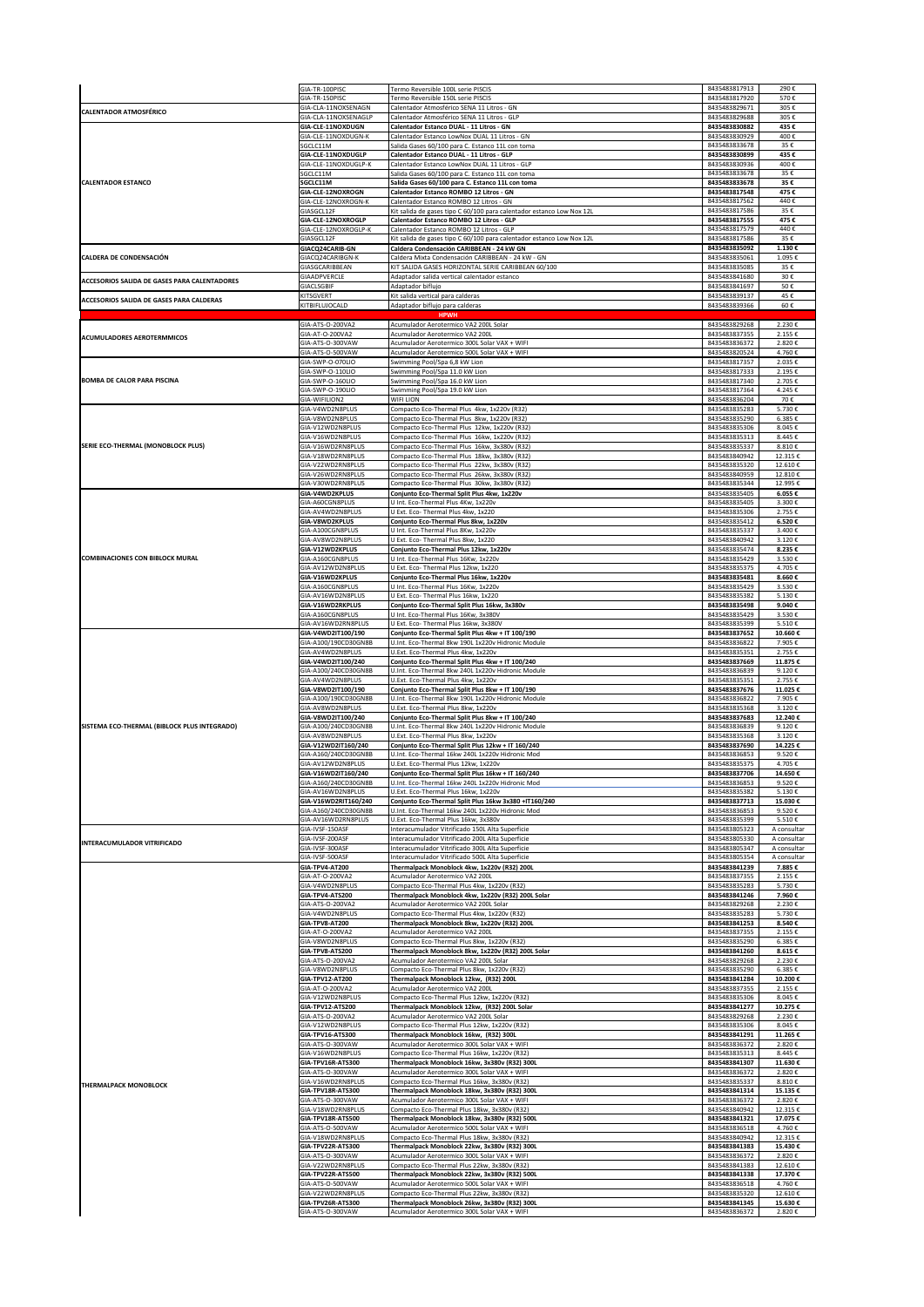|                                              | GIA-TR-100PISC                       | Termo Reversible 100L serie PISCIS                                                            | 8435483817913                  | 290€              |
|----------------------------------------------|--------------------------------------|-----------------------------------------------------------------------------------------------|--------------------------------|-------------------|
|                                              | GIA-TR-150PISC                       | Termo Reversible 150L serie PISCIS                                                            | 8435483817920                  | 570€              |
| <b>CALENTADOR ATMOSFÉRICO</b>                | GIA-CLA-11NOXSENAGN                  | Calentador Atmosférico SENA 11 Litros - GN                                                    | 8435483829671                  | 305€              |
|                                              | GIA-CLA-11NOXSENAGLP                 | Calentador Atmosférico SENA 11 Litros - GLP                                                   | 8435483829688                  | 305€              |
|                                              | GIA-CLE-11NOXDUGN                    | Calentador Estanco DUAL - 11 Litros - GN                                                      | 8435483830882                  | 435€              |
|                                              | GIA-CLE-11NOXDUGN-K<br>SGCLC11M      | Calentador Estanco LowNox DUAL 11 Litros - GN                                                 | 8435483830929<br>8435483833678 | 400€<br>35€       |
|                                              | GIA-CLE-11NOXDUGLP                   | Salida Gases 60/100 para C. Estanco 11L con toma<br>Calentador Estanco DUAL - 11 Litros - GLP | 8435483830899                  | 435€              |
|                                              | GIA-CLE-11NOXDUGLP-K                 | Calentador Estanco LowNox DUAL 11 Litros - GLP                                                | 8435483830936                  | 400€              |
|                                              | SGCLC11M                             | Salida Gases 60/100 para C. Estanco 11L con toma                                              | 8435483833678                  | 35€               |
| <b>CALENTADOR ESTANCO</b>                    | SGCLC11M<br>GIA-CLE-12NOXROGN        | Salida Gases 60/100 para C. Estanco 11L con toma                                              | 8435483833678<br>8435483817548 | 35€<br>475€       |
|                                              | GIA-CLE-12NOXROGN-K                  | Calentador Estanco ROMBO 12 Litros - GN<br>Calentador Estanco ROMBO 12 Litros - GN            | 8435483817562                  | 440€              |
|                                              | GIASGCL12F                           | Kit salida de gases tipo C 60/100 para calentador estanco Low Nox 12L                         | 8435483817586                  | 35€               |
|                                              | GIA-CLE-12NOXROGLP                   | Calentador Estanco ROMBO 12 Litros - GLP                                                      | 8435483817555                  | 475€              |
|                                              | GIA-CLE-12NOXROGLP-K                 | Calentador Estanco ROMBO 12 Litros - GLP                                                      | 8435483817579                  | 440€              |
|                                              | GIASGCI 128                          | Kit salida de gases tipo C 60/100 para calentador estanco Low Nox 12L                         | 8435483817586                  | 35€               |
|                                              | GIACQ24CARIB-GN                      | Caldera Condensación CARIBBEAN - 24 kW GN                                                     | 8435483835092                  | 1.130€            |
| CALDERA DE CONDENSACIÓN                      | GIACQ24CARIBGN-K                     | Caldera Mixta Condensación CARIBBEAN - 24 kW - GN                                             | 8435483835061                  | 1.095€            |
|                                              | GIASGCARIBBEAN                       | KIT SALIDA GASES HORIZONTAL SERIE CARIBBEAN 60/100                                            | 8435483835085                  | 35€               |
| ACCESORIOS SALIDA DE GASES PARA CALENTADORES | GIAADPVERCLE                         | Adaptador salida vertical calentador estanco                                                  | 8435483841680                  | 30€               |
|                                              | <b>GIACLSGBIF</b>                    | Adaptador biflujo                                                                             | 8435483841697                  | 50€               |
| ACCESORIOS SALIDA DE GASES PARA CALDERAS     | KITSGVERT                            | <it calderas<="" para="" salida="" td="" vertical=""><td>8435483839137</td><td>45€</td></it>  | 8435483839137                  | 45€               |
|                                              | KITBIFLUJOCALD                       | Adaptador biflujo para calderas                                                               | 8435483839366                  | 60€               |
|                                              | GIA-ATS-O-200VA2                     | Acumulador Aerotermico VA2 200L Solar                                                         | 8435483829268                  | 2.230€            |
| <b>ACUMULADORES AEROTERMMICOS</b>            | GIA-AT-O-200VA2                      | Acumulador Aerotermico VA2 200L                                                               | 8435483837355                  | 2.155€            |
|                                              | GIA-ATS-O-300VAW                     | Acumulador Aerotermico 300L Solar VAX + WIFI                                                  | 8435483836372                  | 2.820€            |
|                                              | GIA-ATS-O-500VAW                     | Acumulador Aerotermico 500L Solar VAX + WIFI                                                  | 8435483820524                  | 4.760€            |
|                                              | GIA-SWP-O-070LIO                     | Swimming Pool/Spa 6,8 kW Lion                                                                 | 8435483817357                  | 2.035€            |
|                                              | GIA-SWP-O-110LIO                     | Swimming Pool/Spa 11.0 kW Lion                                                                | 8435483817333                  | 2.195€            |
| <b>BOMBA DE CALOR PARA PISCINA</b>           | GIA-SWP-O-160LIO                     | Swimming Pool/Spa 16.0 kW Lion                                                                | 8435483817340                  | 2.705€            |
|                                              | GIA-SWP-O-190LIO                     | Swimming Pool/Spa 19.0 kW Lion                                                                | 8435483817364                  | 4.245€            |
|                                              | GIA-WIFILION2                        | WIFI LION                                                                                     | 8435483836204                  | 70€               |
|                                              | GIA-V4WD2N8PLUS                      | Compacto Eco-Thermal Plus 4kw, 1x220v (R32)                                                   | 8435483835283                  | 5.730€            |
|                                              | GIA-V8WD2N8PLUS                      | Compacto Eco-Thermal Plus 8kw, 1x220v (R32)                                                   | 8435483835290                  | 6.385€            |
|                                              | GIA-V12WD2N8PLUS                     | Compacto Eco-Thermal Plus 12kw, 1x220v (R32)                                                  | 8435483835306                  | 8.045€            |
|                                              | GIA-V16WD2N8PLUS                     | Compacto Eco-Thermal Plus 16kw, 1x220v (R32)                                                  | 8435483835313                  | 8.445€            |
| SERIE ECO-THERMAL (MONOBLOCK PLUS)           | GIA-V16WD2RN8PLUS                    | Compacto Eco-Thermal Plus 16kw, 3x380v (R32)                                                  | 8435483835337                  | 8.810€            |
|                                              | GIA-V18WD2RN8PLUS                    | Compacto Eco-Thermal Plus 18kw, 3x380v (R32)                                                  | 8435483840942                  | 12.315€           |
|                                              | GIA-V22WD2RN8PLUS                    | Compacto Eco-Thermal Plus 22kw, 3x380v (R32)                                                  | 8435483835320                  | 12.610€           |
|                                              | GIA-V26WD2RN8PLUS                    | Compacto Eco-Thermal Plus 26kw, 3x380v (R32)                                                  | 8435483840959                  | 12.810€           |
|                                              | GIA-V30WD2RN8PLUS                    | Compacto Eco-Thermal Plus 30kw, 3x380v (R32)                                                  | 8435483835344                  | 12.995€           |
|                                              | GIA-V4WD2KPLUS                       | Conjunto Eco-Thermal Split Plus 4kw, 1x220v                                                   | 8435483835405                  | 6.055€            |
|                                              | GIA-A60CGN8PLUS                      | U Int. Eco-Thermal Plus 4Kw, 1x220v                                                           | 8435483835405                  | 3.300€            |
|                                              | GIA-AV4WD2N8PLUS                     | U Ext. Eco- Thermal Plus 4kw, 1x220                                                           | 8435483835306                  | 2.755€            |
|                                              | GIA-V8WD2KPLUS                       | Conjunto Eco-Thermal Plus 8kw, 1x220v                                                         | 8435483835412                  | 6.520€            |
|                                              | GIA-A100CGN8PLUS                     | U Int. Eco-Thermal Plus 8Kw, 1x220v                                                           | 8435483835337                  | 3.400€            |
|                                              | GIA-AV8WD2N8PLUS                     | U Ext. Eco- Thermal Plus 8kw, 1x220                                                           | 8435483840942                  | 3.120€            |
| <b>COMBINACIONES CON BIBLOCK MURAL</b>       | GIA-V12WD2KPLUS                      | Conjunto Eco-Thermal Plus 12kw, 1x220v                                                        | 8435483835474                  | 8.235€            |
|                                              | GIA-A160CGN8PLUS                     | U Int. Eco-Thermal Plus 16Kw, 1x220v                                                          | 8435483835429                  | 3.530€            |
|                                              | GIA-AV12WD2N8PLUS                    | U Ext. Eco- Thermal Plus 12kw, 1x220                                                          | 8435483835375                  | 4.705€            |
|                                              | GIA-V16WD2KPLUS                      | Conjunto Eco-Thermal Plus 16kw, 1x220v                                                        | 8435483835481                  | 8.660€            |
|                                              | GIA-A160CGN8PLUS                     | U Int. Eco-Thermal Plus 16Kw, 1x220v                                                          | 8435483835429                  | 3.530€            |
|                                              | GIA-AV16WD2N8PLUS                    | U Ext. Eco- Thermal Plus 16kw, 1x220                                                          | 8435483835382                  | 5.130€            |
|                                              | GIA-V16WD2RKPLUS                     | Conjunto Eco-Thermal Split Plus 16kw, 3x380v                                                  | 8435483835498                  | 9.040€            |
|                                              | GIA-A160CGN8PLUS                     | U Int. Eco-Thermal Plus 16Kw, 3x380V                                                          | 8435483835429                  | 3.530€            |
|                                              | GIA-AV16WD2RN8PLUS                   | U Ext. Eco- Thermal Plus 16kw, 3x380V                                                         | 8435483835399                  | 5.510€            |
|                                              | GIA-V4WD2IT100/190                   | Conjunto Eco-Thermal Split Plus 4kw + IT 100/190                                              | 8435483837652                  | 10.660€           |
|                                              | GIA-A100/190CD30GN8B                 | U.Int. Eco-Thermal 8kw 190L 1x220v Hidronic Module                                            | 8435483836822                  | 7.905€            |
|                                              | GIA-AV4WD2N8PLUS                     | U.Ext. Eco-Thermal Plus 4kw, 1x220v                                                           | 8435483835351                  | 2.755€            |
|                                              | GIA-V4WD2IT100/240                   | Conjunto Eco-Thermal Split Plus 4kw + IT 100/240                                              | 8435483837669                  | 11.875€           |
|                                              | GIA-A100/240CD30GN8B                 | U.Int. Eco-Thermal 8kw 240L 1x220v Hidronic Module                                            | 8435483836839                  | 9.120€            |
|                                              | GIA-AV4WD2N8PLUS                     | U.Ext. Eco-Thermal Plus 4kw, 1x220v                                                           | 8435483835351                  | 2.755€            |
|                                              | GIA-V8WD2IT100/190                   | Conjunto Eco-Thermal Split Plus 8kw + IT 100/190                                              | 8435483837676                  | 11.025€           |
|                                              | GIA-A100/190CD30GN8B                 | U.Int. Eco-Thermal 8kw 190L 1x220v Hidronic Module                                            | 8435483836822                  | 7.905€            |
|                                              | GIA-AV8WD2N8PLUS                     | U.Ext. Eco-Thermal Plus 8kw, 1x220v                                                           | 8435483835368                  | 3.120€            |
| SISTEMA ECO-THERMAL (BIBLOCK PLUS INTEGRADO) | GIA-V8WD2IT100/240                   | Conjunto Eco-Thermal Split Plus 8kw + IT 100/240                                              | 8435483837683                  | 12.240€           |
|                                              | GIA-A100/240CD30GN8B                 | U.Int. Eco-Thermal 8kw 240L 1x220v Hidronic Module                                            | 8435483836839                  | 9.120€            |
|                                              | GIA-AV8WD2N8PLUS                     | U.Ext. Eco-Thermal Plus 8kw, 1x220v                                                           | 8435483835368                  | 3.120€            |
|                                              | GIA-V12WD2IT160/240                  | Conjunto Eco-Thermal Split Plus 12kw + IT 160/240                                             | 8435483837690                  | 14.225€           |
|                                              | GIA-A160/240CD30GN8B                 | U.Int. Eco-Thermal 16kw 240L 1x220v Hidronic Mod                                              | 8435483836853                  | 9.520€            |
|                                              | GIA-AV12WD2N8PLUS                    | U.Ext. Eco-Thermal Plus 12kw, 1x220v                                                          | 8435483835375                  | 4.705€            |
|                                              | GIA-V16WD2IT160/240                  | Conjunto Eco-Thermal Split Plus 16kw + IT 160/240                                             | 8435483837706                  | 14.650€           |
|                                              | GIA-A160/240CD30GN8B                 | U.Int. Eco-Thermal 16kw 240L 1x220v Hidronic Mod                                              | 8435483836853                  | 9.520€            |
|                                              | GIA-AV16WD2N8PLUS                    | U.Ext. Eco-Thermal Plus 16kw, 1x220v                                                          | 8435483835382                  | 5.130€            |
|                                              | GIA-V16WD2RIT160/240                 | Conjunto Eco-Thermal Split Plus 16kw 3x380 +IT160/240                                         | 8435483837713                  | 15.030€           |
|                                              | GIA-A160/240CD30GN8B                 | U.Int. Eco-Thermal 16kw 240L 1x220v Hidronic Mod                                              | 8435483836853                  | 9.520€            |
|                                              | GIA-AV16WD2RN8PLUS                   | U.Ext. Eco-Thermal Plus 16kw, 3x380v                                                          | 8435483835399                  | 5.510€            |
|                                              | GIA-IVSF-150ASF                      | Interacumulador Vitrificado 150L Alta Superficie                                              | 8435483805323                  | A consultar       |
| INTERACUMULADOR VITRIFICADO                  | GIA-IVSF-200ASF                      | Interacumulador Vitrificado 200L Alta Superficie                                              | 8435483805330                  | A consultar       |
|                                              | GIA-IVSF-300ASF                      | Interacumulador Vitrificado 300L Alta Superficie                                              | 8435483805347                  | A consultar       |
|                                              | GIA-IVSF-500ASF                      | Interacumulador Vitrificado 500L Alta Superficie                                              | 8435483805354                  | A consultar       |
|                                              | <b>GIA-TPV4-AT200</b>                | Thermalpack Monoblock 4kw, 1x220v (R32) 200L                                                  | 8435483841239                  | 7.885€            |
|                                              | GIA-AT-O-200VA2                      | Acumulador Aerotermico VA2 200L                                                               | 8435483837355                  | 2.155€            |
|                                              | GIA-V4WD2N8PLUS                      | Compacto Eco-Thermal Plus 4kw, 1x220v (R32)                                                   | 8435483835283                  | 5.730€            |
|                                              | GIA-TPV4-ATS200                      | Thermalpack Monoblock 4kw, 1x220v (R32) 200L Solar                                            | 8435483841246                  | 7.960€            |
|                                              | GIA-ATS-O-200VA2                     | Acumulador Aerotermico VA2 200L Solar                                                         | 8435483829268                  | 2.230€            |
|                                              | GIA-V4WD2N8PLUS                      | Compacto Eco-Thermal Plus 4kw, 1x220v (R32)                                                   | 8435483835283                  | 5.730€            |
|                                              | GIA-TPV8-AT200                       | Thermalpack Monoblock 8kw, 1x220v (R32) 200L                                                  | 8435483841253                  | 8.540€            |
|                                              | GIA-AT-O-200VA2                      | Acumulador Aerotermico VA2 200L                                                               | 8435483837355                  | 2.155€            |
|                                              | GIA-V8WD2N8PLUS                      | Compacto Eco-Thermal Plus 8kw, 1x220v (R32)                                                   | 8435483835290                  | 6.385€            |
|                                              | GIA-TPV8-ATS200                      | Thermalpack Monoblock 8kw, 1x220v (R32) 200L Solar                                            | 8435483841260                  | 8.615€            |
|                                              | GIA-ATS-O-200VA2                     | Acumulador Aerotermico VA2 200L Solar                                                         | 8435483829268                  | 2.230€            |
|                                              | GIA-V8WD2N8PLUS                      | Compacto Eco-Thermal Plus 8kw, 1x220v (R32)                                                   | 8435483835290                  | 6.385€            |
|                                              | GIA-TPV12-AT200                      | Thermalpack Monoblock 12kw, (R32) 200L                                                        | 8435483841284                  | 10.200€           |
|                                              | GIA-AT-O-200VA2                      | Acumulador Aerotermico VA2 200L                                                               | 8435483837355                  | 2.155€            |
|                                              | GIA-V12WD2N8PLUS                     | Compacto Eco-Thermal Plus 12kw, 1x220v (R32)                                                  | 8435483835306                  | 8.045€            |
|                                              | GIA-TPV12-ATS200<br>GIA-ATS-O-200VA2 | Thermalpack Monoblock 12kw, (R32) 200L Solar<br>Acumulador Aerotermico VA2 200L Solar         | 8435483841277<br>8435483829268 | 10.275€<br>2.230€ |
|                                              | GIA-V12WD2N8PLUS<br>GIA-TPV16-ATS300 | Compacto Eco-Thermal Plus 12kw, 1x220v (R32)<br>Thermalpack Monoblock 16kw, (R32) 300L        | 8435483835306<br>8435483841291 | 8.045€<br>11.265€ |
|                                              | GIA-ATS-O-300VAW                     | Acumulador Aerotermico 300L Solar VAX + WIFI                                                  | 8435483836372                  | 2.820€            |
|                                              | GIA-V16WD2N8PLUS                     | Compacto Eco-Thermal Plus 16kw, 1x220v (R32)                                                  | 8435483835313                  | 8.445€            |
|                                              | GIA-TPV16R-ATS300                    | Thermalpack Monoblock 16kw, 3x380v (R32) 300L                                                 | 8435483841307                  | 11.630€           |
|                                              | GIA-ATS-O-300VAW                     | Acumulador Aerotermico 300L Solar VAX + WIFI                                                  | 8435483836372                  | 2.820€            |
|                                              | GIA-V16WD2RN8PLUS                    | Compacto Eco-Thermal Plus 16kw, 3x380v (R32)                                                  | 8435483835337                  | 8.810€            |
| <b>THERMALPACK MONOBLOCK</b>                 | GIA-TPV18R-ATS300                    | Thermalpack Monoblock 18kw, 3x380v (R32) 300L                                                 | 8435483841314                  | 15.135€           |
|                                              | GIA-ATS-O-300VAW                     | Acumulador Aerotermico 300L Solar VAX + WIFI                                                  | 8435483836372                  | 2.820€            |
|                                              | GIA-V18WD2RN8PLUS                    | Compacto Eco-Thermal Plus 18kw, 3x380v (R32)                                                  | 8435483840942                  | 12.315€           |
|                                              | GIA-TPV18R-ATS500                    | Thermalpack Monoblock 18kw, 3x380v (R32) 500L                                                 | 8435483841321                  | 17.075€           |
|                                              | GIA-ATS-O-500VAW                     | Acumulador Aerotermico 500L Solar VAX + WIFI                                                  | 8435483836518                  | 4.760€            |
|                                              | GIA-V18WD2RN8PLUS                    | Compacto Eco-Thermal Plus 18kw, 3x380v (R32)                                                  | 8435483840942                  | 12.315€           |
|                                              | GIA-TPV22R-ATS300                    | Thermalpack Monoblock 22kw, 3x380v (R32) 300L                                                 | 8435483841383                  | 15.430€           |
|                                              | GIA-ATS-O-300VAW                     | Acumulador Aerotermico 300L Solar VAX + WIFI                                                  | 8435483836372                  | 2.820€            |
|                                              | GIA-V22WD2RN8PLUS                    | Compacto Eco-Thermal Plus 22kw, 3x380v (R32)                                                  | 8435483841383                  | 12.610€           |
|                                              | GIA-TPV22R-ATS500                    | Thermalpack Monoblock 22kw, 3x380v (R32) 500L                                                 | 8435483841338                  | 17.370€           |
|                                              | GIA-ATS-O-500VAW                     | Acumulador Aerotermico 500L Solar VAX + WIFI                                                  | 8435483836518                  | 4.760€            |
|                                              | GIA-V22WD2RN8PLUS                    | Compacto Eco-Thermal Plus 22kw, 3x380v (R32)                                                  | 8435483835320                  | 12.610€           |
|                                              | GIA-TPV26R-ATS300                    | Thermalpack Monoblock 26kw, 3x380v (R32) 300L                                                 | 8435483841345                  | 15.630€           |
|                                              | GIA-ATS-O-300VAW                     | Acumulador Aerotermico 300L Solar VAX + WIFI                                                  | 8435483836372                  | 2.820€            |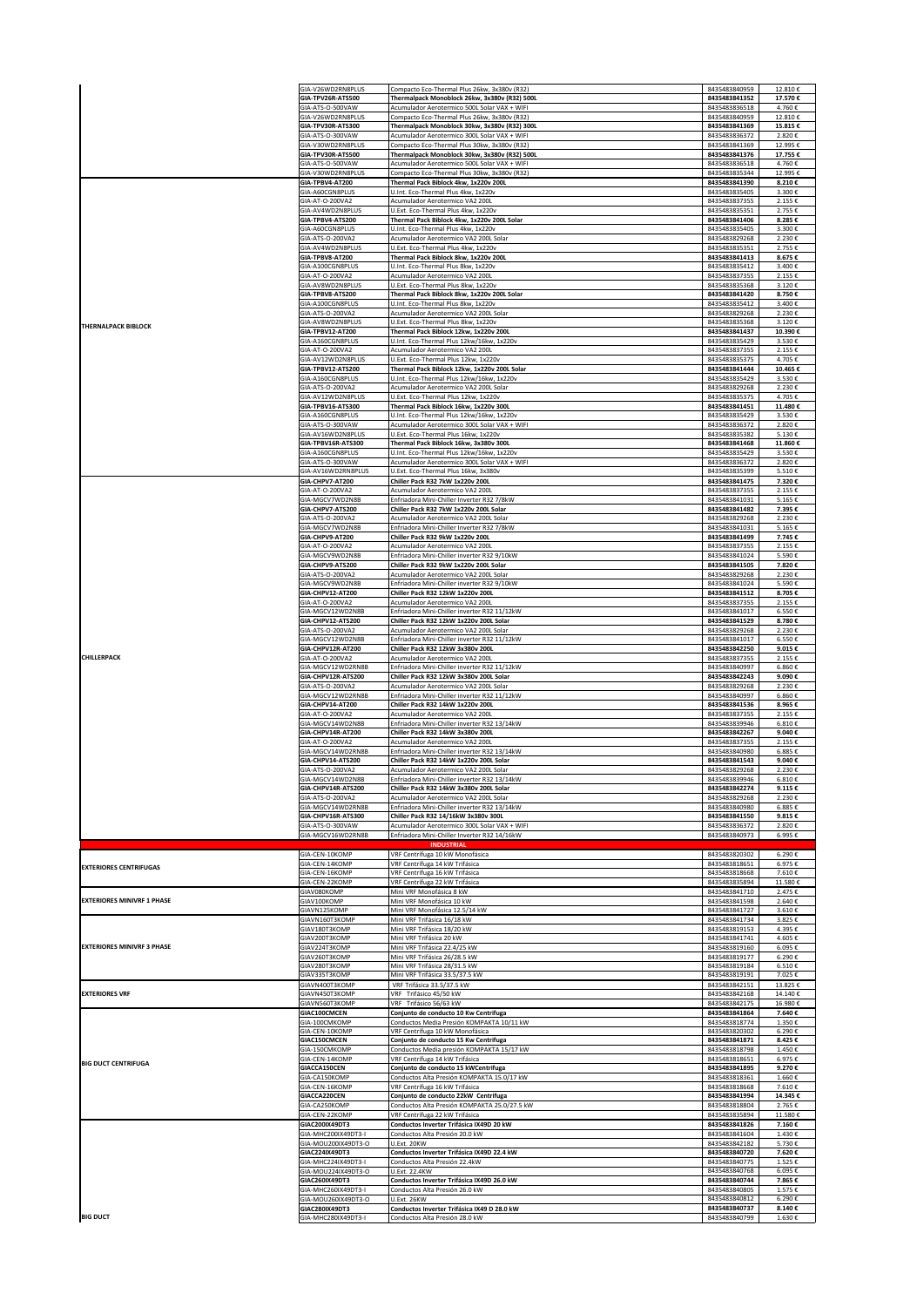|                                   | GIA-V26WD2RN8PLUS<br>GIA-TPV26R-ATS500 | Compacto Eco-Thermal Plus 26kw, 3x380v (R32)<br>Thermalpack Monoblock 26kw, 3x380v (R32) 500L | 8435483840959<br>8435483841352                                                                                                                                                                                                                                                                                                                                                                                                                                                                                                                                                | 12.810€<br>17.570€ |
|-----------------------------------|----------------------------------------|-----------------------------------------------------------------------------------------------|-------------------------------------------------------------------------------------------------------------------------------------------------------------------------------------------------------------------------------------------------------------------------------------------------------------------------------------------------------------------------------------------------------------------------------------------------------------------------------------------------------------------------------------------------------------------------------|--------------------|
|                                   | GIA-ATS-O-500VAW                       | Acumulador Aerotermico 500L Solar VAX + WIFI                                                  | 8435483836518                                                                                                                                                                                                                                                                                                                                                                                                                                                                                                                                                                 | 4.760€             |
|                                   | GIA-V26WD2RN8PLUS                      | Compacto Eco-Thermal Plus 26kw, 3x380v (R32)                                                  | 8435483840959                                                                                                                                                                                                                                                                                                                                                                                                                                                                                                                                                                 | 12.810€            |
|                                   | GIA-TPV30R-ATS300<br>GIA-ATS-O-300VAW  | Thermalpack Monoblock 30kw, 3x380v (R32) 300L<br>Acumulador Aerotermico 300L Solar VAX + WIFI | 8435483841369<br>8435483836372                                                                                                                                                                                                                                                                                                                                                                                                                                                                                                                                                | 15.815€<br>2.820€  |
|                                   | GIA-V30WD2RN8PLUS                      | Compacto Eco-Thermal Plus 30kw, 3x380v (R32)                                                  | 8435483841369                                                                                                                                                                                                                                                                                                                                                                                                                                                                                                                                                                 | 12.995€            |
|                                   | GIA-TPV30R-ATS500<br>GIA-ATS-O-500VAW  | Thermalpack Monoblock 30kw, 3x380v (R32) 500L<br>Acumulador Aerotermico 500L Solar VAX + WIFI | 8435483836518                                                                                                                                                                                                                                                                                                                                                                                                                                                                                                                                                                 | 17.755€<br>4.760€  |
|                                   | GIA-V30WD2RN8PLUS                      | Compacto Eco-Thermal Plus 30kw, 3x380v (R32)                                                  | 8435483835344                                                                                                                                                                                                                                                                                                                                                                                                                                                                                                                                                                 | 12.995€            |
|                                   | GIA-TPBV4-AT200<br>GIA-A60CGN8PLUS     | Thermal Pack Biblock 4kw, 1x220v 200L<br>U.Int. Eco-Thermal Plus 4kw, 1x220v                  | 8435483835405                                                                                                                                                                                                                                                                                                                                                                                                                                                                                                                                                                 | 8.210€<br>3.300€   |
|                                   | GIA-AT-O-200VA2                        | Acumulador Aerotermico VA2 200L                                                               | 8435483837355                                                                                                                                                                                                                                                                                                                                                                                                                                                                                                                                                                 | 2.155€             |
|                                   | GIA-AV4WD2N8PLUS<br>GIA-TPBV4-ATS200   | U.Ext. Eco-Thermal Plus 4kw, 1x220v<br>Thermal Pack Biblock 4kw, 1x220v 200L Solar            | 8435483841406                                                                                                                                                                                                                                                                                                                                                                                                                                                                                                                                                                 | 2.755€<br>8.285€   |
|                                   | GIA-A60CGN8PLUS                        | U.Int. Eco-Thermal Plus 4kw, 1x220v                                                           | 8435483835405                                                                                                                                                                                                                                                                                                                                                                                                                                                                                                                                                                 | 3.300€             |
|                                   | GIA-ATS-O-200VA2<br>GIA-AV4WD2N8PLUS   | Acumulador Aerotermico VA2 200L Solar<br>U.Ext. Eco-Thermal Plus 4kw, 1x220v                  | 8435483829268                                                                                                                                                                                                                                                                                                                                                                                                                                                                                                                                                                 | 2.230€<br>2.755€   |
| <b>THERNALPACK BIBLOCK</b>        | GIA-TPBV8-AT200                        | Thermal Pack Biblock 8kw, 1x220v 200L                                                         | 8435483841413                                                                                                                                                                                                                                                                                                                                                                                                                                                                                                                                                                 | 8.675€             |
|                                   | GIA-A100CGN8PLUS<br>GIA-AT-O-200VA2    | U.Int. Eco-Thermal Plus 8kw. 1x220v<br>Acumulador Aerotermico VA2 200L                        | 8435483835412                                                                                                                                                                                                                                                                                                                                                                                                                                                                                                                                                                 | 3.400€<br>2.155€   |
|                                   | GIA-AV8WD2N8PLUS                       | U.Ext. Eco-Thermal Plus 8kw, 1x220v                                                           | 8435483835368                                                                                                                                                                                                                                                                                                                                                                                                                                                                                                                                                                 | 3.120€             |
|                                   | GIA-TPBV8-ATS200<br>GIA-A100CGN8PLUS   | Thermal Pack Biblock 8kw, 1x220v 200L Solar<br>U.Int. Eco-Thermal Plus 8kw. 1x220v            | 8435483841420                                                                                                                                                                                                                                                                                                                                                                                                                                                                                                                                                                 | 8.750€<br>3.400€   |
|                                   | GIA-ATS-O-200VA2                       | Acumulador Aerotermico VA2 200L Solar                                                         | 8435483829268                                                                                                                                                                                                                                                                                                                                                                                                                                                                                                                                                                 | 2.230€             |
|                                   | GIA-AV8WD2N8PLUS                       | U.Ext. Eco-Thermal Plus 8kw, 1x220v                                                           | 8435483835368                                                                                                                                                                                                                                                                                                                                                                                                                                                                                                                                                                 | 3.120€             |
|                                   | GIA-TPBV12-AT200<br>GIA-A160CGN8PLUS   | Thermal Pack Biblock 12kw, 1x220v 200L<br>U.Int. Eco-Thermal Plus 12kw/16kw, 1x220v           | 8435483835429                                                                                                                                                                                                                                                                                                                                                                                                                                                                                                                                                                 | 10.390€<br>3.530€  |
|                                   | GIA-AT-O-200VA2                        | Acumulador Aerotermico VA2 200L                                                               | 8435483837355                                                                                                                                                                                                                                                                                                                                                                                                                                                                                                                                                                 | 2.155€             |
|                                   | GIA-AV12WD2N8PLUS<br>GIA-TPBV12-ATS200 | U.Ext. Eco-Thermal Plus 12kw, 1x220v<br>Thermal Pack Biblock 12kw, 1x220v 200L Solar          |                                                                                                                                                                                                                                                                                                                                                                                                                                                                                                                                                                               | 4.705€<br>10.465€  |
|                                   | GIA-A160CGN8PLUS                       | U.Int. Eco-Thermal Plus 12kw/16kw, 1x220v                                                     | 8435483835429                                                                                                                                                                                                                                                                                                                                                                                                                                                                                                                                                                 | 3.530€             |
|                                   | GIA-ATS-O-200VA2<br>GIA-AV12WD2N8PLUS  | Acumulador Aerotermico VA2 200L Solar<br>U.Ext. Eco-Thermal Plus 12kw. 1x220v                 | 8435483835375                                                                                                                                                                                                                                                                                                                                                                                                                                                                                                                                                                 | 2.230€<br>4.705€   |
|                                   | GIA-TPBV16-ATS300                      | Thermal Pack Biblock 16kw, 1x220v 300L                                                        | 8435483841451                                                                                                                                                                                                                                                                                                                                                                                                                                                                                                                                                                 | 11.480€            |
|                                   | GIA-A160CGN8PLUS<br>GIA-ATS-O-300VAW   | U.Int. Eco-Thermal Plus 12kw/16kw, 1x220v<br>Acumulador Aerotermico 300L Solar VAX + WIFI     |                                                                                                                                                                                                                                                                                                                                                                                                                                                                                                                                                                               | 3.530€<br>2.820€   |
|                                   | GIA-AV16WD2N8PLUS                      | U.Ext. Eco-Thermal Plus 16kw, 1x220v                                                          | 8435483835382                                                                                                                                                                                                                                                                                                                                                                                                                                                                                                                                                                 | 5.130€             |
|                                   | GIA-TPBV16R-ATS300<br>GIA-A160CGN8PLUS | Thermal Pack Biblock 16kw, 3x380v 300L<br>U.Int. Eco-Thermal Plus 12kw/16kw, 1x220v           | 8435483841468                                                                                                                                                                                                                                                                                                                                                                                                                                                                                                                                                                 | 11.860€<br>3.530€  |
|                                   | GIA-ATS-O-300VAW                       | Acumulador Aerotermico 300L Solar VAX + WIFI                                                  | 8435483836372                                                                                                                                                                                                                                                                                                                                                                                                                                                                                                                                                                 | 2.820€             |
|                                   | GIA-AV16WD2RN8PLUS                     | U.Ext. Eco-Thermal Plus 16kw, 3x380v                                                          | 8435483835399                                                                                                                                                                                                                                                                                                                                                                                                                                                                                                                                                                 | 5.510€             |
|                                   | GIA-CHPV7-AT200<br>GIA-AT-O-200VA2     | Chiller Pack R32 7kW 1x220v 200L<br>Acumulador Aerotermico VA2 200L                           | 8435483837355                                                                                                                                                                                                                                                                                                                                                                                                                                                                                                                                                                 | 7.320€<br>2.155€   |
|                                   | GIA-MGCV7WD2N8B                        | Enfriadora Mini-Chiller Inverter R32 7/8kW                                                    | 8435483841031                                                                                                                                                                                                                                                                                                                                                                                                                                                                                                                                                                 | 5.165€             |
|                                   | GIA-CHPV7-ATS200<br>GIA-ATS-O-200VA2   | Chiller Pack R32 7kW 1x220v 200L Solar<br>Acumulador Aerotermico VA2 200L Solar               | 8435483829268                                                                                                                                                                                                                                                                                                                                                                                                                                                                                                                                                                 | 7.395€<br>2.230€   |
|                                   | GIA-MGCV7WD2N8B                        | Enfriadora Mini-Chiller Inverter R32 7/8kW                                                    | 8435483841031                                                                                                                                                                                                                                                                                                                                                                                                                                                                                                                                                                 | 5.165€             |
|                                   | GIA-CHPV9-AT200<br>GIA-AT-O-200VA2     | Chiller Pack R32 9kW 1x220v 200L<br>Acumulador Aerotermico VA2 200L                           | 8435483837355                                                                                                                                                                                                                                                                                                                                                                                                                                                                                                                                                                 | 7.745€<br>2.155€   |
|                                   | GIA-MGCV9WD2N8B                        | Enfriadora Mini-Chiller inverter R32 9/10kW                                                   | 8435483841024                                                                                                                                                                                                                                                                                                                                                                                                                                                                                                                                                                 | 5.590€             |
|                                   | GIA-CHPV9-ATS200<br>GIA-ATS-O-200VA2   | Chiller Pack R32 9kW 1x220v 200L Solar<br>Acumulador Aerotermico VA2 200L Solar               | 8435483829268                                                                                                                                                                                                                                                                                                                                                                                                                                                                                                                                                                 | 7.820€<br>2.230€   |
|                                   | GIA-MGCV9WD2N8B                        | Enfriadora Mini-Chiller inverter R32 9/10kW                                                   | 8435483841024                                                                                                                                                                                                                                                                                                                                                                                                                                                                                                                                                                 | 5.590€             |
|                                   | GIA-CHPV12-AT200<br>GIA-AT-O-200VA2    | Chiller Pack R32 12kW 1x220v 200L<br>Acumulador Aerotermico VA2 200L                          |                                                                                                                                                                                                                                                                                                                                                                                                                                                                                                                                                                               | 8.705€<br>2.155€   |
|                                   | GIA-MGCV12WD2N8B                       | Enfriadora Mini-Chiller inverter R32 11/12kW                                                  | 8435483841017                                                                                                                                                                                                                                                                                                                                                                                                                                                                                                                                                                 | 6.550€             |
| <b>CHILLERPACK</b>                | GIA-CHPV12-ATS200<br>GIA-ATS-O-200VA2  | Chiller Pack R32 12kW 1x220v 200L Solar<br>Acumulador Aerotermico VA2 200L Solar              | 8435483841529                                                                                                                                                                                                                                                                                                                                                                                                                                                                                                                                                                 | 8.780€<br>2.230€   |
|                                   | GIA-MGCV12WD2N8B                       | Enfriadora Mini-Chiller inverter R32 11/12kW                                                  | 8435483841017                                                                                                                                                                                                                                                                                                                                                                                                                                                                                                                                                                 | 6.550€             |
|                                   | GIA-CHPV12R-AT200<br>GIA-AT-O-200VA2   | Chiller Pack R32 12kW 3x380v 200L<br>Acumulador Aerotermico VA2 200L                          |                                                                                                                                                                                                                                                                                                                                                                                                                                                                                                                                                                               | 9.015€<br>2.155€   |
|                                   | GIA-MGCV12WD2RN8B                      | Enfriadora Mini-Chiller inverter R32 11/12kW                                                  | 8435483840997                                                                                                                                                                                                                                                                                                                                                                                                                                                                                                                                                                 | 6.860 €            |
|                                   | GIA-CHPV12R-ATS200<br>GIA-ATS-O-200VA2 | Chiller Pack R32 12kW 3x380v 200L Solar<br>Acumulador Aerotermico VA2 200L Solar              | 8435483842243                                                                                                                                                                                                                                                                                                                                                                                                                                                                                                                                                                 | 9.090€<br>2.230€   |
|                                   | GIA-MGCV12WD2RN8B                      | Enfriadora Mini-Chiller inverter R32 11/12kW                                                  | 8435483840997                                                                                                                                                                                                                                                                                                                                                                                                                                                                                                                                                                 | 6.860€             |
|                                   | GIA-CHPV14-AT200                       | Chiller Pack R32 14kW 1x220v 200L                                                             | 8435483841536                                                                                                                                                                                                                                                                                                                                                                                                                                                                                                                                                                 | 8.965€<br>2.155€   |
|                                   | GIA-AT-O-200VA2<br>GIA-MGCV14WD2N8B    | Acumulador Aerotermico VA2 200L<br>Enfriadora Mini-Chiller inverter R32 13/14kW               | 8435483839946                                                                                                                                                                                                                                                                                                                                                                                                                                                                                                                                                                 | 6.810€             |
|                                   | GIA-CHPV14R-AT200<br>GIA-AT-O-200VA2   | Chiller Pack R32 14kW 3x380v 200L<br>Acumulador Aerotermico VA2 200L                          | 8435483842267                                                                                                                                                                                                                                                                                                                                                                                                                                                                                                                                                                 | 9.040€<br>2.155€   |
|                                   | GIA-MGCV14WD2RN8B                      | Enfriadora Mini-Chiller inverter R32 13/14kW                                                  | 8435483840980                                                                                                                                                                                                                                                                                                                                                                                                                                                                                                                                                                 | 6.885€             |
|                                   | GIA-CHPV14-ATS200<br>GIA-ATS-O-200VA2  | Chiller Pack R32 14kW 1x220v 200L Solar                                                       | 8435483841543                                                                                                                                                                                                                                                                                                                                                                                                                                                                                                                                                                 | 9.040€             |
|                                   | GIA-MGCV14WD2N8B                       | Acumulador Aerotermico VA2 200L Solar<br>Enfriadora Mini-Chiller inverter R32 13/14kW         | 8435483839946                                                                                                                                                                                                                                                                                                                                                                                                                                                                                                                                                                 | 2.230€<br>6.810€   |
|                                   | GIA-CHPV14R-ATS200<br>GIA-ATS-O-200VA2 | Chiller Pack R32 14kW 3x380v 200L Solar                                                       | 8435483842274                                                                                                                                                                                                                                                                                                                                                                                                                                                                                                                                                                 | 9.115€             |
|                                   | GIA-MGCV14WD2RN8B                      | Acumulador Aerotermico VA2 200L Solar<br>Enfriadora Mini-Chiller inverter R32 13/14kW         | 8435483840980                                                                                                                                                                                                                                                                                                                                                                                                                                                                                                                                                                 | 2.230€<br>6.885€   |
|                                   | GIA-CHPV16R-ATS300                     | Chiller Pack R32 14/16kW 3x380v 300L                                                          | 8435483841550                                                                                                                                                                                                                                                                                                                                                                                                                                                                                                                                                                 | 9.815€             |
|                                   | GIA-ATS-O-300VAW<br>GIA-MGCV16WD2RN8B  | Acumulador Aerotermico 300L Solar VAX + WIFI<br>Enfriadora Mini-Chiller Inverter R32 14/16kW  | 8435483840973                                                                                                                                                                                                                                                                                                                                                                                                                                                                                                                                                                 | 2.820€<br>6.995€   |
|                                   |                                        | <b>INDUSTRIA</b>                                                                              |                                                                                                                                                                                                                                                                                                                                                                                                                                                                                                                                                                               |                    |
|                                   | GIA-CEN-10KOMP<br>GIA-CEN-14KOMP       | VRF Centrífuga 10 kW Monofásica<br>VRF Centrífuga 14 kW Trifásica                             | 8435483820302                                                                                                                                                                                                                                                                                                                                                                                                                                                                                                                                                                 | 6.290€<br>6.975€   |
| <b>EXTERIORES CENTRIFUGAS</b>     | GIA-CEN-16KOMP                         | VRF Centrífuga 16 kW Trifásica                                                                | 8435483818668                                                                                                                                                                                                                                                                                                                                                                                                                                                                                                                                                                 | 7.610€             |
|                                   | GIA-CEN-22KOMP<br>GIAV080KOMP          | VRF Centrífuga 22 kW Trifásica<br>Mini VRF Monofásica 8 kW                                    |                                                                                                                                                                                                                                                                                                                                                                                                                                                                                                                                                                               | 11.580€<br>2.475€  |
| <b>EXTERIORES MINIVRF 1 PHASE</b> | GIAV100KOMP                            | Mini VRF Monofásica 10 kW                                                                     | 8435483841598                                                                                                                                                                                                                                                                                                                                                                                                                                                                                                                                                                 | 2.640€             |
|                                   | GIAVN125KOMP<br>GIAVN160T3KOMP         | Mini VRF Monofásica 12.5/14 kW<br>Mini VRF Trifásica 16/18 kW                                 | 8435483841727                                                                                                                                                                                                                                                                                                                                                                                                                                                                                                                                                                 | 3.610€<br>3.825€   |
|                                   | GIAV180T3KOMP                          | Mini VRF Trifásica 18/20 kW                                                                   | 8435483841376<br>8435483841390<br>8435483835351<br>8435483835351<br>8435483837355<br>8435483835412<br>8435483841437<br>8435483835375<br>8435483841444<br>8435483829268<br>8435483835429<br>8435483836372<br>8435483835429<br>8435483841475<br>8435483841482<br>8435483841499<br>8435483841505<br>8435483841512<br>8435483837355<br>8435483829268<br>8435483842250<br>8435483837355<br>8435483829268<br>8435483837355<br>8435483837355<br>8435483829268<br>8435483829268<br>8435483836372<br>8435483818651<br>8435483835894<br>8435483841710<br>8435483841734<br>8435483819153 | 4.395€             |
| <b>EXTERIORES MINIVRF 3 PHASE</b> | GIAV200T3KOMP<br>GIAV224T3KOMP         | Mini VRF Trifásica 20 kW<br>Mini VRF Trifásica 22.4/25 kW                                     | 8435483841741<br>8435483819160                                                                                                                                                                                                                                                                                                                                                                                                                                                                                                                                                | 4.605€<br>6.095€   |
|                                   | GIAV260T3KOMP                          | Mini VRF Trifásica 26/28.5 kW                                                                 | 8435483819177                                                                                                                                                                                                                                                                                                                                                                                                                                                                                                                                                                 | 6.290€             |
|                                   | GIAV280T3KOMP                          | Mini VRF Trifásica 28/31.5 kW                                                                 | 8435483819184                                                                                                                                                                                                                                                                                                                                                                                                                                                                                                                                                                 | 6.510€             |
|                                   | GIAV335T3KOMP<br>GIAVN400T3KOMP        | Mini VRF Trifásica 33.5/37.5 kW<br>VRF Trifásica 33.5/37.5 kW                                 | 8435483819191<br>8435483842151                                                                                                                                                                                                                                                                                                                                                                                                                                                                                                                                                | 7.025€<br>13.825€  |
| <b>EXTERIORES VRF</b>             | GIAVN450T3KOMP                         | VRF Trifásico 45/50 kW                                                                        | 8435483842168                                                                                                                                                                                                                                                                                                                                                                                                                                                                                                                                                                 | 14.140€            |
|                                   | GIAVN560T3KOMP<br>GIAC100CMCEN         | VRF Trifásico 56/63 kW<br>Conjunto de conducto 10 Kw Centrifuga                               | 8435483842175<br>8435483841864                                                                                                                                                                                                                                                                                                                                                                                                                                                                                                                                                | 16.980€<br>7.640€  |
|                                   | GIA-100CMKOMP                          | Conductos Media Presión KOMPAKTA 10/11 kW                                                     | 8435483818774                                                                                                                                                                                                                                                                                                                                                                                                                                                                                                                                                                 | 1.350€             |
|                                   | GIA-CEN-10KOMP<br>GIAC150CMCEN         | VRF Centrífuga 10 kW Monofásica<br>Conjunto de conducto 15 Kw Centrifuga                      | 8435483820302<br>8435483841871                                                                                                                                                                                                                                                                                                                                                                                                                                                                                                                                                | 6.290€<br>8.425€   |
| <b>BIG DUCT CENTRIFUGA</b>        | GIA-150CMKOMP                          | Conductos Media presión KOMPAKTA 15/17 kW                                                     | 8435483818798                                                                                                                                                                                                                                                                                                                                                                                                                                                                                                                                                                 | 1.450€             |
|                                   | GIA-CEN-14KOMP<br>GIACCA150CEN         | VRF Centrífuga 14 kW Trifásica<br>Conjunto de conducto 15 kWCentrifuga                        | 8435483818651<br>8435483841895                                                                                                                                                                                                                                                                                                                                                                                                                                                                                                                                                | 6.975€<br>9.270€   |
|                                   | GIA-CA150KOMP                          | Conductos Alta Presión KOMPAKTA 15.0/17 kW                                                    | 8435483818361                                                                                                                                                                                                                                                                                                                                                                                                                                                                                                                                                                 | 1.660€             |
|                                   | GIA-CEN-16KOMP<br>GIACCA220CEN         | VRF Centrífuga 16 kW Trifásica<br>Conjunto de conducto 22kW Centrifuga                        | 8435483818668<br>8435483841994                                                                                                                                                                                                                                                                                                                                                                                                                                                                                                                                                | 7.610€<br>14.345€  |
|                                   | GIA-CA250KOMP                          | Conductos Alta Presión KOMPAKTA 25.0/27.5 kW                                                  | 8435483818804                                                                                                                                                                                                                                                                                                                                                                                                                                                                                                                                                                 | 2.765€             |
|                                   | GIA-CEN-22KOMP<br>GIAC200IX49DT3       | VRF Centrífuga 22 kW Trifásica<br>Conductos Inverter Trifásica IX49D 20 kW                    | 8435483835894<br>8435483841826                                                                                                                                                                                                                                                                                                                                                                                                                                                                                                                                                | 11.580€<br>7.160€  |
|                                   | GIA-MHC200IX49DT3-I                    | Conductos Alta Presión 20.0 kW                                                                | 8435483841604                                                                                                                                                                                                                                                                                                                                                                                                                                                                                                                                                                 | 1.430€             |
|                                   | GIA-MOU200IX49DT3-O<br>GIAC224IX49DT3  | U.Ext. 20KW<br>Conductos Inverter Trifásica IX49D 22.4 kW                                     | 8435483842182<br>8435483840720                                                                                                                                                                                                                                                                                                                                                                                                                                                                                                                                                | 5.730€<br>7.620€   |
|                                   | GIA-MHC224IX49DT3-I                    | Conductos Alta Presión 22.4kW                                                                 | 8435483840775                                                                                                                                                                                                                                                                                                                                                                                                                                                                                                                                                                 | 1.525€             |
|                                   | GIA-MOU224IX49DT3-O<br>GIAC260IX49DT3  | U.Ext. 22.4KW<br>Conductos Inverter Trifásica IX49D 26.0 kW                                   | 8435483840768<br>8435483840744                                                                                                                                                                                                                                                                                                                                                                                                                                                                                                                                                | 6.095€<br>7.865€   |
|                                   | GIA-MHC260IX49DT3-I                    | Conductos Alta Presión 26.0 kW                                                                | 8435483840805                                                                                                                                                                                                                                                                                                                                                                                                                                                                                                                                                                 | 1.575€             |
|                                   | GIA-MOU260IX49DT3-O<br>GIAC280IX49DT3  | U.Ext. 26KW<br>Conductos Inverter Trifásica IX49 D 28.0 kW                                    | 8435483840812<br>8435483840737                                                                                                                                                                                                                                                                                                                                                                                                                                                                                                                                                | 6.290€<br>8.140€   |
| <b>BIG DUCT</b>                   | GIA-MHC280IX49DT3-I                    | Conductos Alta Presión 28.0 kW                                                                | 8435483840799                                                                                                                                                                                                                                                                                                                                                                                                                                                                                                                                                                 | 1.630€             |